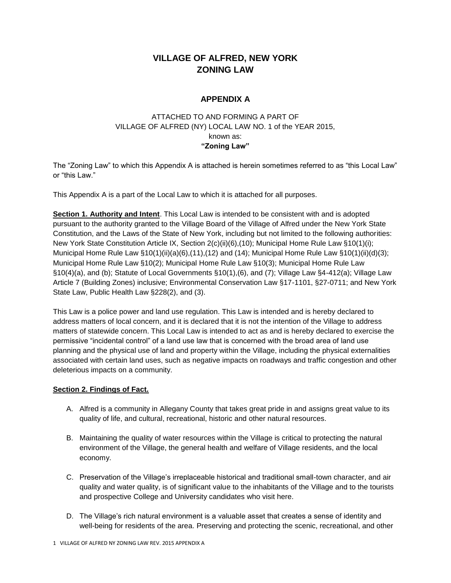## **VILLAGE OF ALFRED, NEW YORK ZONING LAW**

## **APPENDIX A**

## ATTACHED TO AND FORMING A PART OF VILLAGE OF ALFRED (NY) LOCAL LAW NO. 1 of the YEAR 2015, known as: **"Zoning Law"**

The "Zoning Law" to which this Appendix A is attached is herein sometimes referred to as "this Local Law" or "this Law."

This Appendix A is a part of the Local Law to which it is attached for all purposes.

**Section 1. Authority and Intent**. This Local Law is intended to be consistent with and is adopted pursuant to the authority granted to the Village Board of the Village of Alfred under the New York State Constitution, and the Laws of the State of New York, including but not limited to the following authorities: New York State Constitution Article IX, Section 2(c)(ii)(6),(10); Municipal Home Rule Law §10(1)(i); Municipal Home Rule Law §10(1)(ii)(a)(6),(11),(12) and (14); Municipal Home Rule Law §10(1)(ii)(d)(3); Municipal Home Rule Law §10(2); Municipal Home Rule Law §10(3); Municipal Home Rule Law §10(4)(a), and (b); Statute of Local Governments §10(1),(6), and (7); Village Law §4-412(a); Village Law Article 7 (Building Zones) inclusive; Environmental Conservation Law §17-1101, §27-0711; and New York State Law, Public Health Law §228(2), and (3).

This Law is a police power and land use regulation. This Law is intended and is hereby declared to address matters of local concern, and it is declared that it is not the intention of the Village to address matters of statewide concern. This Local Law is intended to act as and is hereby declared to exercise the permissive "incidental control" of a land use law that is concerned with the broad area of land use planning and the physical use of land and property within the Village, including the physical externalities associated with certain land uses, such as negative impacts on roadways and traffic congestion and other deleterious impacts on a community.

## **Section 2. Findings of Fact.**

- A. Alfred is a community in Allegany County that takes great pride in and assigns great value to its quality of life, and cultural, recreational, historic and other natural resources.
- B. Maintaining the quality of water resources within the Village is critical to protecting the natural environment of the Village, the general health and welfare of Village residents, and the local economy.
- C. Preservation of the Village's irreplaceable historical and traditional small-town character, and air quality and water quality, is of significant value to the inhabitants of the Village and to the tourists and prospective College and University candidates who visit here.
- D. The Village's rich natural environment is a valuable asset that creates a sense of identity and well-being for residents of the area. Preserving and protecting the scenic, recreational, and other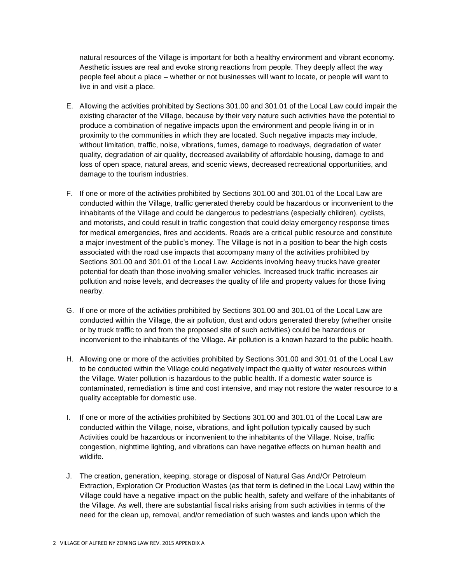natural resources of the Village is important for both a healthy environment and vibrant economy. Aesthetic issues are real and evoke strong reactions from people. They deeply affect the way people feel about a place – whether or not businesses will want to locate, or people will want to live in and visit a place.

- E. Allowing the activities prohibited by Sections 301.00 and 301.01 of the Local Law could impair the existing character of the Village, because by their very nature such activities have the potential to produce a combination of negative impacts upon the environment and people living in or in proximity to the communities in which they are located. Such negative impacts may include, without limitation, traffic, noise, vibrations, fumes, damage to roadways, degradation of water quality, degradation of air quality, decreased availability of affordable housing, damage to and loss of open space, natural areas, and scenic views, decreased recreational opportunities, and damage to the tourism industries.
- F. If one or more of the activities prohibited by Sections 301.00 and 301.01 of the Local Law are conducted within the Village, traffic generated thereby could be hazardous or inconvenient to the inhabitants of the Village and could be dangerous to pedestrians (especially children), cyclists, and motorists, and could result in traffic congestion that could delay emergency response times for medical emergencies, fires and accidents. Roads are a critical public resource and constitute a major investment of the public's money. The Village is not in a position to bear the high costs associated with the road use impacts that accompany many of the activities prohibited by Sections 301.00 and 301.01 of the Local Law. Accidents involving heavy trucks have greater potential for death than those involving smaller vehicles. Increased truck traffic increases air pollution and noise levels, and decreases the quality of life and property values for those living nearby.
- G. If one or more of the activities prohibited by Sections 301.00 and 301.01 of the Local Law are conducted within the Village, the air pollution, dust and odors generated thereby (whether onsite or by truck traffic to and from the proposed site of such activities) could be hazardous or inconvenient to the inhabitants of the Village. Air pollution is a known hazard to the public health.
- H. Allowing one or more of the activities prohibited by Sections 301.00 and 301.01 of the Local Law to be conducted within the Village could negatively impact the quality of water resources within the Village. Water pollution is hazardous to the public health. If a domestic water source is contaminated, remediation is time and cost intensive, and may not restore the water resource to a quality acceptable for domestic use.
- I. If one or more of the activities prohibited by Sections 301.00 and 301.01 of the Local Law are conducted within the Village, noise, vibrations, and light pollution typically caused by such Activities could be hazardous or inconvenient to the inhabitants of the Village. Noise, traffic congestion, nighttime lighting, and vibrations can have negative effects on human health and wildlife.
- J. The creation, generation, keeping, storage or disposal of Natural Gas And/Or Petroleum Extraction, Exploration Or Production Wastes (as that term is defined in the Local Law) within the Village could have a negative impact on the public health, safety and welfare of the inhabitants of the Village. As well, there are substantial fiscal risks arising from such activities in terms of the need for the clean up, removal, and/or remediation of such wastes and lands upon which the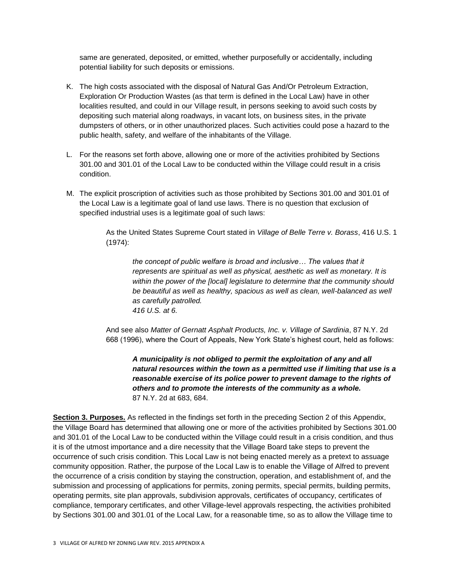same are generated, deposited, or emitted, whether purposefully or accidentally, including potential liability for such deposits or emissions.

- K. The high costs associated with the disposal of Natural Gas And/Or Petroleum Extraction, Exploration Or Production Wastes (as that term is defined in the Local Law) have in other localities resulted, and could in our Village result, in persons seeking to avoid such costs by depositing such material along roadways, in vacant lots, on business sites, in the private dumpsters of others, or in other unauthorized places. Such activities could pose a hazard to the public health, safety, and welfare of the inhabitants of the Village.
- L. For the reasons set forth above, allowing one or more of the activities prohibited by Sections 301.00 and 301.01 of the Local Law to be conducted within the Village could result in a crisis condition.
- M. The explicit proscription of activities such as those prohibited by Sections 301.00 and 301.01 of the Local Law is a legitimate goal of land use laws. There is no question that exclusion of specified industrial uses is a legitimate goal of such laws:

As the United States Supreme Court stated in *Village of Belle Terre v. Borass*, 416 U.S. 1 (1974):

*the concept of public welfare is broad and inclusive… The values that it represents are spiritual as well as physical, aesthetic as well as monetary. It is within the power of the [local] legislature to determine that the community should be beautiful as well as healthy, spacious as well as clean, well-balanced as well as carefully patrolled. 416 U.S. at 6.*

And see also *Matter of Gernatt Asphalt Products, Inc. v. Village of Sardinia*, 87 N.Y. 2d 668 (1996), where the Court of Appeals, New York State's highest court, held as follows:

*A municipality is not obliged to permit the exploitation of any and all natural resources within the town as a permitted use if limiting that use is a reasonable exercise of its police power to prevent damage to the rights of others and to promote the interests of the community as a whole.* 87 N.Y. 2d at 683, 684.

**Section 3. Purposes.** As reflected in the findings set forth in the preceding Section 2 of this Appendix, the Village Board has determined that allowing one or more of the activities prohibited by Sections 301.00 and 301.01 of the Local Law to be conducted within the Village could result in a crisis condition, and thus it is of the utmost importance and a dire necessity that the Village Board take steps to prevent the occurrence of such crisis condition. This Local Law is not being enacted merely as a pretext to assuage community opposition. Rather, the purpose of the Local Law is to enable the Village of Alfred to prevent the occurrence of a crisis condition by staying the construction, operation, and establishment of, and the submission and processing of applications for permits, zoning permits, special permits, building permits, operating permits, site plan approvals, subdivision approvals, certificates of occupancy, certificates of compliance, temporary certificates, and other Village-level approvals respecting, the activities prohibited by Sections 301.00 and 301.01 of the Local Law, for a reasonable time, so as to allow the Village time to